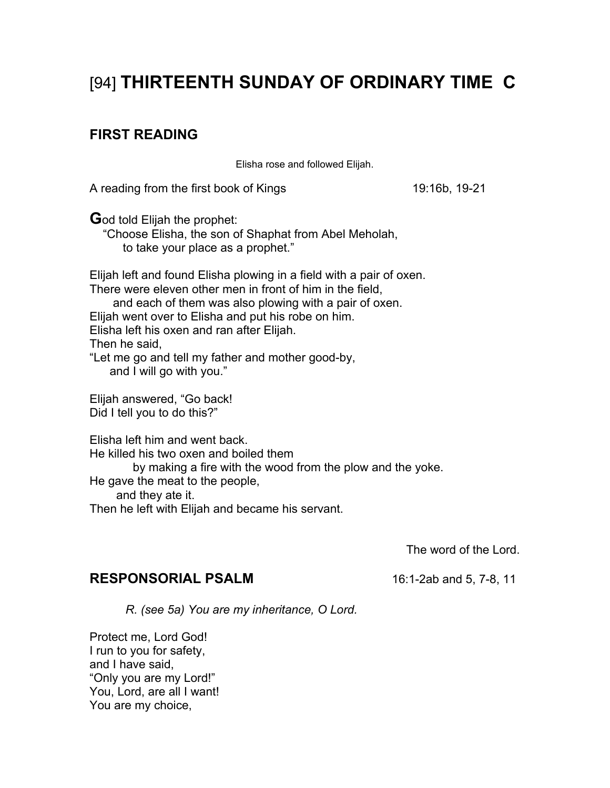# [94] **THIRTEENTH SUNDAY OF ORDINARY TIME C**

# **FIRST READING**

Elisha rose and followed Elijah.

A reading from the first book of Kings 19:16b, 19-21

**G**od told Elijah the prophet:

 "Choose Elisha, the son of Shaphat from Abel Meholah, to take your place as a prophet."

Elijah left and found Elisha plowing in a field with a pair of oxen. There were eleven other men in front of him in the field,

 and each of them was also plowing with a pair of oxen. Elijah went over to Elisha and put his robe on him. Elisha left his oxen and ran after Elijah. Then he said,

"Let me go and tell my father and mother good-by, and I will go with you."

Elijah answered, "Go back! Did I tell you to do this?"

Elisha left him and went back. He killed his two oxen and boiled them by making a fire with the wood from the plow and the yoke. He gave the meat to the people, and they ate it. Then he left with Elijah and became his servant.

The word of the Lord.

# **RESPONSORIAL PSALM** 16:1-2ab and 5, 7-8, 11

*R. (see 5a) You are my inheritance, O Lord.* 

Protect me, Lord God! I run to you for safety, and I have said, "Only you are my Lord!" You, Lord, are all I want! You are my choice,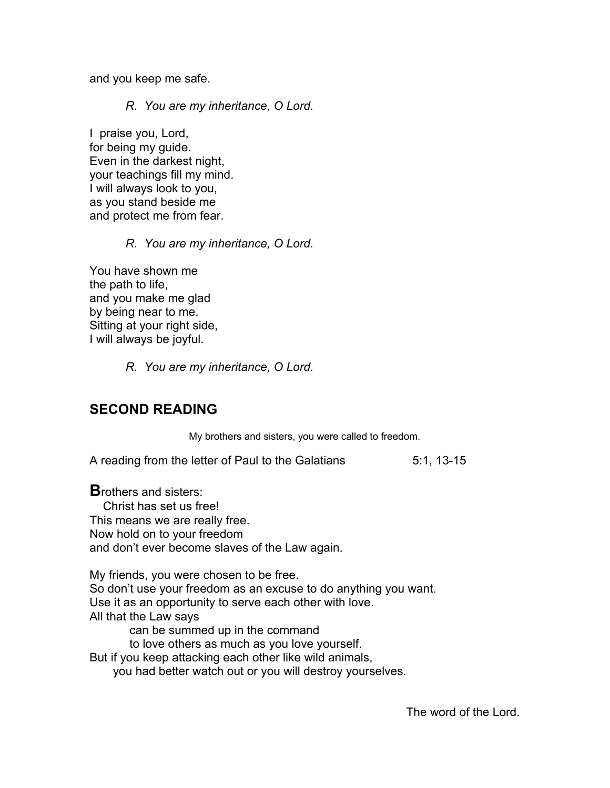and you keep me safe.

*R. You are my inheritance, O Lord.* 

I praise you, Lord, for being my guide. Even in the darkest night, your teachings fill my mind. I will always look to you, as you stand beside me and protect me from fear.

## *R. You are my inheritance, O Lord.*

You have shown me the path to life, and you make me glad by being near to me. Sitting at your right side, I will always be joyful.

*R. You are my inheritance, O Lord.* 

# **SECOND READING**

My brothers and sisters, you were called to freedom.

A reading from the letter of Paul to the Galatians 5:1, 13-15

**B**rothers and sisters: Christ has set us free! This means we are really free. Now hold on to your freedom and don't ever become slaves of the Law again.

My friends, you were chosen to be free. So don't use your freedom as an excuse to do anything you want. Use it as an opportunity to serve each other with love. All that the Law says can be summed up in the command

to love others as much as you love yourself.

But if you keep attacking each other like wild animals,

you had better watch out or you will destroy yourselves.

The word of the Lord.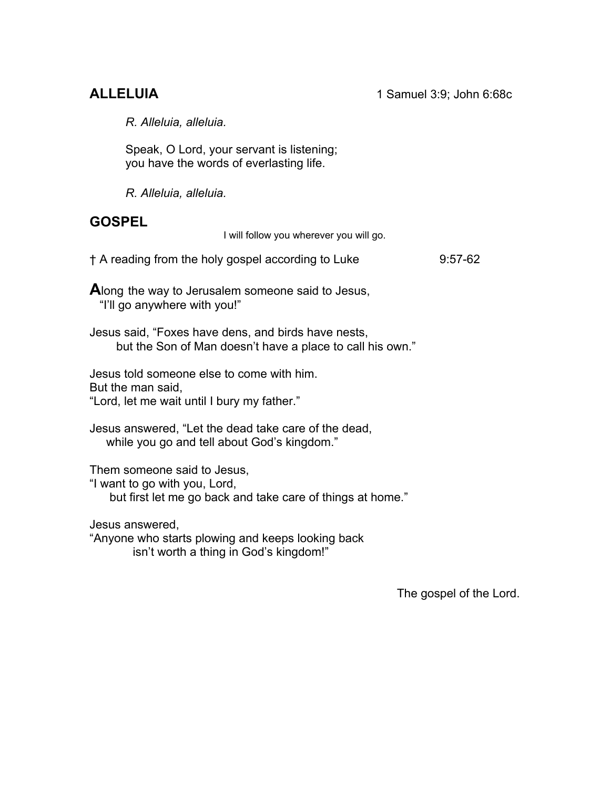*R. Alleluia, alleluia.* 

Speak, O Lord, your servant is listening; you have the words of everlasting life.

*R. Alleluia, alleluia.* 

# **GOSPEL**

I will follow you wherever you will go.

† A reading from the holy gospel according to Luke 9:57-62

**A**long the way to Jerusalem someone said to Jesus, "I'll go anywhere with you!"

Jesus said, "Foxes have dens, and birds have nests, but the Son of Man doesn't have a place to call his own."

Jesus told someone else to come with him. But the man said, "Lord, let me wait until I bury my father."

Jesus answered, "Let the dead take care of the dead, while you go and tell about God's kingdom."

Them someone said to Jesus,

"I want to go with you, Lord,

but first let me go back and take care of things at home."

Jesus answered,

"Anyone who starts plowing and keeps looking back isn't worth a thing in God's kingdom!"

The gospel of the Lord.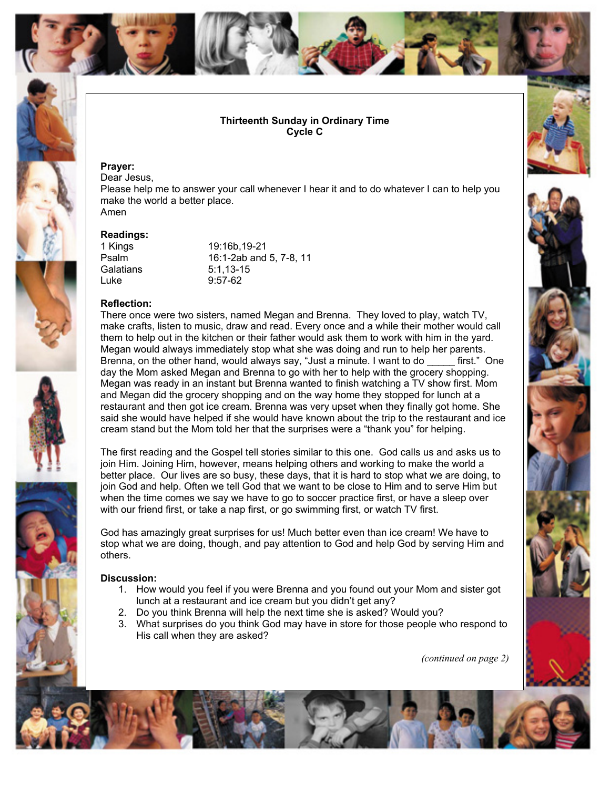

### **Thirteenth Sunday in Ordinary Time Cycle C**

#### **Prayer:**

Dear Jesus, Please help me to answer your call whenever I hear it and to do whatever I can to help you make the world a better place. Amen

#### **Readings:**

Luke 9:57-62

1 Kings 19:16b,19-21 Psalm 16:1-2ab and 5, 7-8, 11 Galatians 5:1,13-15

#### **Reflection:**

There once were two sisters, named Megan and Brenna. They loved to play, watch TV, make crafts, listen to music, draw and read. Every once and a while their mother would call them to help out in the kitchen or their father would ask them to work with him in the yard. Megan would always immediately stop what she was doing and run to help her parents. Brenna, on the other hand, would always say, "Just a minute. I want to do \_\_\_\_\_ first." One day the Mom asked Megan and Brenna to go with her to help with the grocery shopping. Megan was ready in an instant but Brenna wanted to finish watching a TV show first. Mom and Megan did the grocery shopping and on the way home they stopped for lunch at a restaurant and then got ice cream. Brenna was very upset when they finally got home. She said she would have helped if she would have known about the trip to the restaurant and ice cream stand but the Mom told her that the surprises were a "thank you" for helping.

The first reading and the Gospel tell stories similar to this one. God calls us and asks us to join Him. Joining Him, however, means helping others and working to make the world a better place. Our lives are so busy, these days, that it is hard to stop what we are doing, to join God and help. Often we tell God that we want to be close to Him and to serve Him but when the time comes we say we have to go to soccer practice first, or have a sleep over with our friend first, or take a nap first, or go swimming first, or watch TV first.

God has amazingly great surprises for us! Much better even than ice cream! We have to stop what we are doing, though, and pay attention to God and help God by serving Him and others.

#### **Discussion:**

- 1. How would you feel if you were Brenna and you found out your Mom and sister got lunch at a restaurant and ice cream but you didn't get any?
- 2. Do you think Brenna will help the next time she is asked? Would you?
- 3. What surprises do you think God may have in store for those people who respond to His call when they are asked?

*(continued on page 2)*